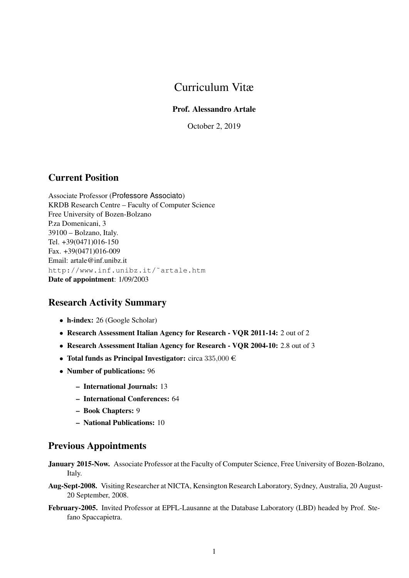# Curriculum Vitæ

### Prof. Alessandro Artale

October 2, 2019

## Current Position

Associate Professor (Professore Associato) KRDB Research Centre – Faculty of Computer Science Free University of Bozen-Bolzano P.za Domenicani, 3 39100 – Bolzano, Italy. Tel. +39(0471)016-150 Fax. +39(0471)016-009 Email: artale@inf.unibz.it http://www.inf.unibz.it/˜artale.htm Date of appointment: 1/09/2003

# Research Activity Summary

- h-index: 26 (Google Scholar)
- Research Assessment Italian Agency for Research VQR 2011-14: 2 out of 2
- Research Assessment Italian Agency for Research VQR 2004-10: 2.8 out of 3
- Total funds as Principal Investigator: circa  $335,000 \in$
- Number of publications: 96
	- International Journals: 13
	- International Conferences: 64
	- Book Chapters: 9
	- National Publications: 10

## Previous Appointments

- January 2015-Now. Associate Professor at the Faculty of Computer Science, Free University of Bozen-Bolzano, Italy.
- Aug-Sept-2008. Visiting Researcher at NICTA, Kensington Research Laboratory, Sydney, Australia, 20 August-20 September, 2008.
- February-2005. Invited Professor at EPFL-Lausanne at the Database Laboratory (LBD) headed by Prof. Stefano Spaccapietra.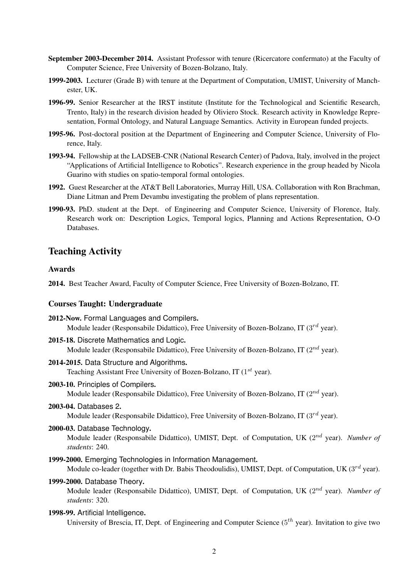- September 2003-December 2014. Assistant Professor with tenure (Ricercatore confermato) at the Faculty of Computer Science, Free University of Bozen-Bolzano, Italy.
- 1999-2003. Lecturer (Grade B) with tenure at the Department of Computation, UMIST, University of Manchester, UK.
- 1996-99. Senior Researcher at the IRST institute (Institute for the Technological and Scientific Research, Trento, Italy) in the research division headed by Oliviero Stock. Research activity in Knowledge Representation, Formal Ontology, and Natural Language Semantics. Activity in European funded projects.
- 1995-96. Post-doctoral position at the Department of Engineering and Computer Science, University of Florence, Italy.
- 1993-94. Fellowship at the LADSEB-CNR (National Research Center) of Padova, Italy, involved in the project "Applications of Artificial Intelligence to Robotics". Research experience in the group headed by Nicola Guarino with studies on spatio-temporal formal ontologies.
- 1992. Guest Researcher at the AT&T Bell Laboratories, Murray Hill, USA. Collaboration with Ron Brachman, Diane Litman and Prem Devambu investigating the problem of plans representation.
- 1990-93. PhD. student at the Dept. of Engineering and Computer Science, University of Florence, Italy. Research work on: Description Logics, Temporal logics, Planning and Actions Representation, O-O Databases.

### Teaching Activity

#### Awards

2014. Best Teacher Award, Faculty of Computer Science, Free University of Bozen-Bolzano, IT.

#### Courses Taught: Undergraduate

| 2012-Now. Formal Languages and Compilers.<br>Module leader (Responsabile Didattico), Free University of Bozen-Bolzano, IT ( $3^{rd}$ year).                              |
|--------------------------------------------------------------------------------------------------------------------------------------------------------------------------|
| 2015-18. Discrete Mathematics and Logic.<br>Module leader (Responsabile Didattico), Free University of Bozen-Bolzano, IT ( $2^{nd}$ year).                               |
| 2014-2015. Data Structure and Algorithms.<br>Teaching Assistant Free University of Bozen-Bolzano, IT $(1^{st}$ year).                                                    |
| 2003-10. Principles of Compilers.<br>Module leader (Responsabile Didattico), Free University of Bozen-Bolzano, IT ( $2^{nd}$ year).                                      |
| 2003-04. Databases 2.<br>Module leader (Responsabile Didattico), Free University of Bozen-Bolzano, IT ( $3^{rd}$ year).                                                  |
| 2000-03. Database Technology.<br>Module leader (Responsabile Didattico), UMIST, Dept. of Computation, UK $(2^{nd}$ year). Number of<br>students: 240.                    |
| 1999-2000. Emerging Technologies in Information Management.<br>Module co-leader (together with Dr. Babis Theodoulidis), UMIST, Dept. of Computation, UK $(3^{rd}$ year). |
| 1999-2000. Database Theory.<br>Module leader (Responsabile Didattico), UMIST, Dept. of Computation, UK $(2^{nd}$ year). Number of<br>students: 320.                      |
| 1998-99. Artificial Intelligence.                                                                                                                                        |

University of Brescia, IT, Dept. of Engineering and Computer Science  $(5^{th}$  year). Invitation to give two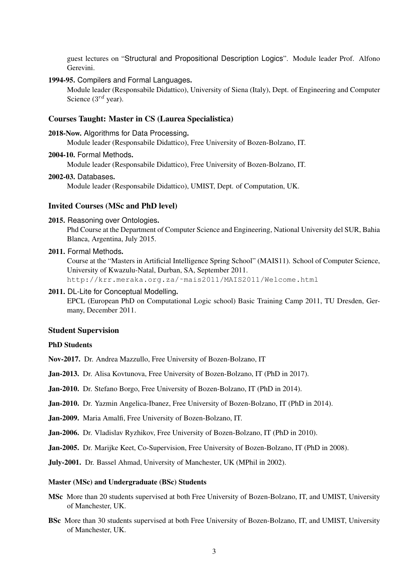guest lectures on "Structural and Propositional Description Logics". Module leader Prof. Alfono Gerevini.

#### 1994-95. Compilers and Formal Languages.

Module leader (Responsabile Didattico), University of Siena (Italy), Dept. of Engineering and Computer Science  $(3^{rd}$  year).

#### Courses Taught: Master in CS (Laurea Specialistica)

2018-Now. Algorithms for Data Processing.

Module leader (Responsabile Didattico), Free University of Bozen-Bolzano, IT.

2004-10. Formal Methods.

Module leader (Responsabile Didattico), Free University of Bozen-Bolzano, IT.

#### 2002-03. Databases.

Module leader (Responsabile Didattico), UMIST, Dept. of Computation, UK.

### Invited Courses (MSc and PhD level)

2015. Reasoning over Ontologies.

Phd Course at the Department of Computer Science and Engineering, National University del SUR, Bahia Blanca, Argentina, July 2015.

2011. Formal Methods.

Course at the "Masters in Artificial Intelligence Spring School" (MAIS11). School of Computer Science, University of Kwazulu-Natal, Durban, SA, September 2011. http://krr.meraka.org.za/˜mais2011/MAIS2011/Welcome.html

2011. DL-Lite for Conceptual Modelling.

EPCL (European PhD on Computational Logic school) Basic Training Camp 2011, TU Dresden, Germany, December 2011.

#### Student Supervision

#### PhD Students

Nov-2017. Dr. Andrea Mazzullo, Free University of Bozen-Bolzano, IT

Jan-2013. Dr. Alisa Kovtunova, Free University of Bozen-Bolzano, IT (PhD in 2017).

Jan-2010. Dr. Stefano Borgo, Free University of Bozen-Bolzano, IT (PhD in 2014).

Jan-2010. Dr. Yazmin Angelica-Ibanez, Free University of Bozen-Bolzano, IT (PhD in 2014).

Jan-2009. Maria Amalfi, Free University of Bozen-Bolzano, IT.

Jan-2006. Dr. Vladislav Ryzhikov, Free University of Bozen-Bolzano, IT (PhD in 2010).

Jan-2005. Dr. Marijke Keet, Co-Supervision, Free University of Bozen-Bolzano, IT (PhD in 2008).

July-2001. Dr. Bassel Ahmad, University of Manchester, UK (MPhil in 2002).

#### Master (MSc) and Undergraduate (BSc) Students

- MSc More than 20 students supervised at both Free University of Bozen-Bolzano, IT, and UMIST, University of Manchester, UK.
- BSc More than 30 students supervised at both Free University of Bozen-Bolzano, IT, and UMIST, University of Manchester, UK.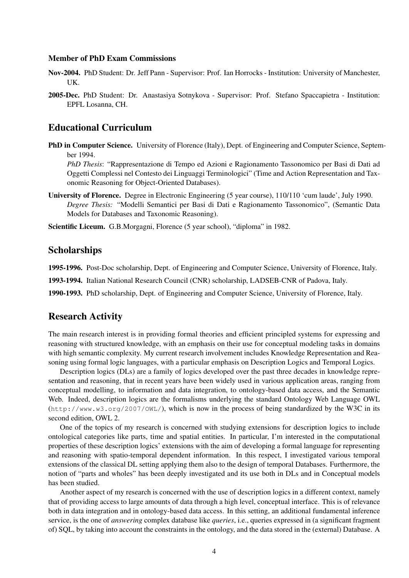#### Member of PhD Exam Commissions

- Nov-2004. PhD Student: Dr. Jeff Pann Supervisor: Prof. Ian Horrocks Institution: University of Manchester, UK.
- 2005-Dec. PhD Student: Dr. Anastasiya Sotnykova Supervisor: Prof. Stefano Spaccapietra Institution: EPFL Losanna, CH.

### Educational Curriculum

PhD in Computer Science. University of Florence (Italy), Dept. of Engineering and Computer Science, September 1994.

*PhD Thesis*: "Rappresentazione di Tempo ed Azioni e Ragionamento Tassonomico per Basi di Dati ad Oggetti Complessi nel Contesto dei Linguaggi Terminologici" (Time and Action Representation and Taxonomic Reasoning for Object-Oriented Databases).

University of Florence. Degree in Electronic Engineering (5 year course), 110/110 'cum laude', July 1990. *Degree Thesis:* "Modelli Semantici per Basi di Dati e Ragionamento Tassonomico", (Semantic Data Models for Databases and Taxonomic Reasoning).

Scientific Liceum. G.B.Morgagni, Florence (5 year school), "diploma" in 1982.

### Scholarships

1995-1996. Post-Doc scholarship, Dept. of Engineering and Computer Science, University of Florence, Italy.

1993-1994. Italian National Research Council (CNR) scholarship, LADSEB-CNR of Padova, Italy.

1990-1993. PhD scholarship, Dept. of Engineering and Computer Science, University of Florence, Italy.

### Research Activity

The main research interest is in providing formal theories and efficient principled systems for expressing and reasoning with structured knowledge, with an emphasis on their use for conceptual modeling tasks in domains with high semantic complexity. My current research involvement includes Knowledge Representation and Reasoning using formal logic languages, with a particular emphasis on Description Logics and Temporal Logics.

Description logics (DLs) are a family of logics developed over the past three decades in knowledge representation and reasoning, that in recent years have been widely used in various application areas, ranging from conceptual modelling, to information and data integration, to ontology-based data access, and the Semantic Web. Indeed, description logics are the formalisms underlying the standard Ontology Web Language OWL  $(\text{http://www.w3.org/2007/OWL)}$ , which is now in the process of being standardized by the W3C in its second edition, OWL 2.

One of the topics of my research is concerned with studying extensions for description logics to include ontological categories like parts, time and spatial entities. In particular, I'm interested in the computational properties of these description logics' extensions with the aim of developing a formal language for representing and reasoning with spatio-temporal dependent information. In this respect, I investigated various temporal extensions of the classical DL setting applying them also to the design of temporal Databases. Furthermore, the notion of "parts and wholes" has been deeply investigated and its use both in DLs and in Conceptual models has been studied.

Another aspect of my research is concerned with the use of description logics in a different context, namely that of providing access to large amounts of data through a high level, conceptual interface. This is of relevance both in data integration and in ontology-based data access. In this setting, an additional fundamental inference service, is the one of *answering* complex database like *queries*, i.e., queries expressed in (a significant fragment of) SQL, by taking into account the constraints in the ontology, and the data stored in the (external) Database. A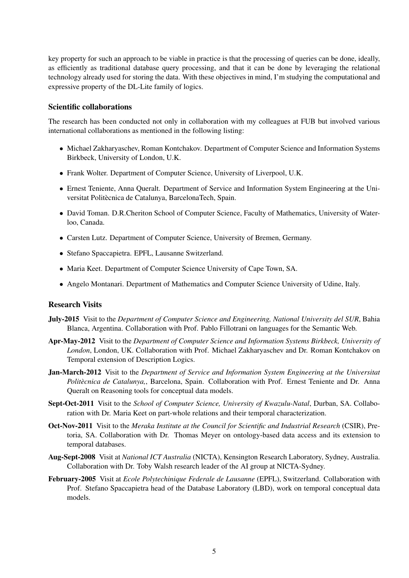key property for such an approach to be viable in practice is that the processing of queries can be done, ideally, as efficiently as traditional database query processing, and that it can be done by leveraging the relational technology already used for storing the data. With these objectives in mind, I'm studying the computational and expressive property of the DL-Lite family of logics.

#### Scientific collaborations

The research has been conducted not only in collaboration with my colleagues at FUB but involved various international collaborations as mentioned in the following listing:

- Michael Zakharyaschev, Roman Kontchakov. Department of Computer Science and Information Systems Birkbeck, University of London, U.K.
- Frank Wolter. Department of Computer Science, University of Liverpool, U.K.
- Ernest Teniente, Anna Queralt. Department of Service and Information System Engineering at the Universitat Politècnica de Catalunya, BarcelonaTech, Spain.
- David Toman. D.R.Cheriton School of Computer Science, Faculty of Mathematics, University of Waterloo, Canada.
- Carsten Lutz. Department of Computer Science, University of Bremen, Germany.
- Stefano Spaccapietra. EPFL, Lausanne Switzerland.
- Maria Keet. Department of Computer Science University of Cape Town, SA.
- Angelo Montanari. Department of Mathematics and Computer Science University of Udine, Italy.

#### Research Visits

- July-2015 Visit to the *Department of Computer Science and Engineering, National University del SUR*, Bahia Blanca, Argentina. Collaboration with Prof. Pablo Fillotrani on languages for the Semantic Web.
- Apr-May-2012 Visit to the *Department of Computer Science and Information Systems Birkbeck, University of London*, London, UK. Collaboration with Prof. Michael Zakharyaschev and Dr. Roman Kontchakov on Temporal extension of Description Logics.
- Jan-March-2012 Visit to the *Department of Service and Information System Engineering at the Universitat Politècnica de Catalunya,*, Barcelona, Spain. Collaboration with Prof. Ernest Teniente and Dr. Anna Queralt on Reasoning tools for conceptual data models.
- Sept-Oct-2011 Visit to the *School of Computer Science, University of Kwazulu-Natal*, Durban, SA. Collaboration with Dr. Maria Keet on part-whole relations and their temporal characterization.
- Oct-Nov-2011 Visit to the *Meraka Institute at the Council for Scientific and Industrial Research* (CSIR), Pretoria, SA. Collaboration with Dr. Thomas Meyer on ontology-based data access and its extension to temporal databases.
- Aug-Sept-2008 Visit at *National ICT Australia* (NICTA), Kensington Research Laboratory, Sydney, Australia. Collaboration with Dr. Toby Walsh research leader of the AI group at NICTA-Sydney.
- February-2005 Visit at *Ecole Polytechinique Federale de Lausanne* (EPFL), Switzerland. Collaboration with Prof. Stefano Spaccapietra head of the Database Laboratory (LBD), work on temporal conceptual data models.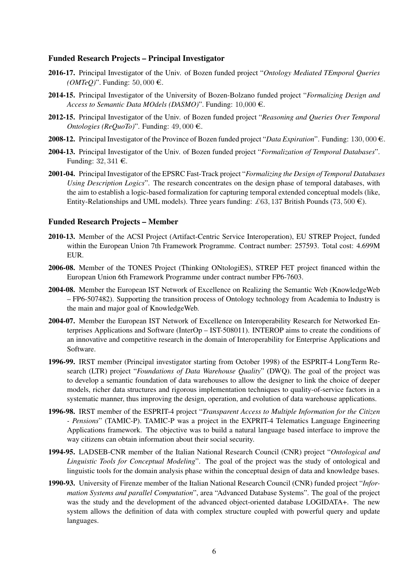#### Funded Research Projects – Principal Investigator

- 2016-17. Principal Investigator of the Univ. of Bozen funded project "*Ontology Mediated TEmporal Queries*  $(OMTeO)$ ". Funding: 50, 000  $\in$ .
- 2014-15. Principal Investigator of the University of Bozen-Bolzano funded project "*Formalizing Design and Access to Semantic Data MOdels (DASMO)*". Funding: 10,000 €.
- 2012-15. Principal Investigator of the Univ. of Bozen funded project "*Reasoning and Queries Over Temporal Ontologies (ReQuoTo)*". Funding:  $49,000 \in$ .
- 2008-12. Principal Investigator of the Province of Bozen funded project "*Data Expiration*". Funding:  $130,000 \in$ .
- 2004-13. Principal Investigator of the Univ. of Bozen funded project "*Formalization of Temporal Databases*". Funding:  $32,341 \in$ .
- 2001-04. Principal Investigator of the EPSRC Fast-Track project "*Formalizing the Design of Temporal Databases Using Description Logics*". The research concentrates on the design phase of temporal databases, with the aim to establish a logic-based formalization for capturing temporal extended conceptual models (like, Entity-Relationships and UML models). Three years funding: £63, 137 British Pounds (73, 500  $\epsilon$ ).

#### Funded Research Projects – Member

- 2010-13. Member of the ACSI Project (Artifact-Centric Service Interoperation), EU STREP Project, funded within the European Union 7th Framework Programme. Contract number: 257593. Total cost: 4.699M EUR.
- 2006-08. Member of the TONES Project (Thinking ONtologiES), STREP FET project financed within the European Union 6th Framework Programme under contract number FP6-7603.
- 2004-08. Member the European IST Network of Excellence on Realizing the Semantic Web (KnowledgeWeb – FP6-507482). Supporting the transition process of Ontology technology from Academia to Industry is the main and major goal of KnowledgeWeb.
- 2004-07. Member the European IST Network of Excellence on Interoperability Research for Networked Enterprises Applications and Software (InterOp – IST-508011). INTEROP aims to create the conditions of an innovative and competitive research in the domain of Interoperability for Enterprise Applications and Software.
- 1996-99. IRST member (Principal investigator starting from October 1998) of the ESPRIT-4 LongTerm Research (LTR) project "*Foundations of Data Warehouse Quality*" (DWQ). The goal of the project was to develop a semantic foundation of data warehouses to allow the designer to link the choice of deeper models, richer data structures and rigorous implementation techniques to quality-of-service factors in a systematic manner, thus improving the design, operation, and evolution of data warehouse applications.
- 1996-98. IRST member of the ESPRIT-4 project "*Transparent Access to Multiple Information for the Citizen - Pensions*" (TAMIC-P). TAMIC-P was a project in the EXPRIT-4 Telematics Language Engineering Applications framework. The objective was to build a natural language based interface to improve the way citizens can obtain information about their social security.
- 1994-95. LADSEB-CNR member of the Italian National Research Council (CNR) project "*Ontological and Linguistic Tools for Conceptual Modeling*". The goal of the project was the study of ontological and linguistic tools for the domain analysis phase within the conceptual design of data and knowledge bases.
- 1990-93. University of Firenze member of the Italian National Research Council (CNR) funded project "*Information Systems and parallel Computation*", area "Advanced Database Systems". The goal of the project was the study and the development of the advanced object-oriented database LOGIDATA+. The new system allows the definition of data with complex structure coupled with powerful query and update languages.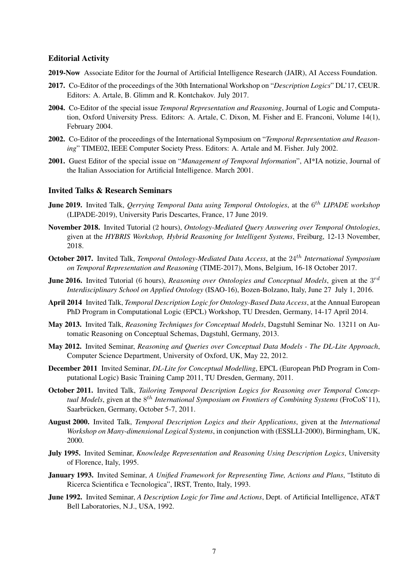#### Editorial Activity

- 2019-Now Associate Editor for the Journal of Artificial Intelligence Research (JAIR), AI Access Foundation.
- 2017. Co-Editor of the proceedings of the 30th International Workshop on "*Description Logics*" DL'17, CEUR. Editors: A. Artale, B. Glimm and R. Kontchakov. July 2017.
- 2004. Co-Editor of the special issue *Temporal Representation and Reasoning*, Journal of Logic and Computation, Oxford University Press. Editors: A. Artale, C. Dixon, M. Fisher and E. Franconi, Volume 14(1), February 2004.
- 2002. Co-Editor of the proceedings of the International Symposium on "*Temporal Representation and Reasoning*" TIME02, IEEE Computer Society Press. Editors: A. Artale and M. Fisher. July 2002.
- 2001. Guest Editor of the special issue on "*Management of Temporal Information*", AI\*IA notizie, Journal of the Italian Association for Artificial Intelligence. March 2001.

#### Invited Talks & Research Seminars

- **June 2019.** Invited Talk, *Qerrying Temporal Data using Temporal Ontologies*, at the 6<sup>th</sup> *LIPADE workshop* (LIPADE-2019), University Paris Descartes, France, 17 June 2019.
- November 2018. Invited Tutorial (2 hours), *Ontology-Mediated Query Answering over Temporal Ontologies*, given at the *HYBRIS Workshop, Hybrid Reasoning for Intelligent Systems*, Freiburg, 12-13 November, 2018.
- October 2017. Invited Talk, *Temporal Ontology-Mediated Data Access*, at the 24<sup>th</sup> International Symposium *on Temporal Representation and Reasoning* (TIME-2017), Mons, Belgium, 16-18 October 2017.
- **June 2016.** Invited Tutorial (6 hours), *Reasoning over Ontologies and Conceptual Models*, given at the  $3^{rd}$ *Interdisciplinary School on Applied Ontology* (ISAO-16), Bozen-Bolzano, Italy, June 27 July 1, 2016.
- April 2014 Invited Talk, *Temporal Description Logic for Ontology-Based Data Access*, at the Annual European PhD Program in Computational Logic (EPCL) Workshop, TU Dresden, Germany, 14-17 April 2014.
- May 2013. Invited Talk, *Reasoning Techniques for Conceptual Models*, Dagstuhl Seminar No. 13211 on Automatic Reasoning on Conceptual Schemas, Dagstuhl, Germany, 2013.
- May 2012. Invited Seminar, *Reasoning and Queries over Conceptual Data Models The DL-Lite Approach*, Computer Science Department, University of Oxford, UK, May 22, 2012.
- December 2011 Invited Seminar, *DL-Lite for Conceptual Modelling*, EPCL (European PhD Program in Computational Logic) Basic Training Camp 2011, TU Dresden, Germany, 2011.
- October 2011. Invited Talk, *Tailoring Temporal Description Logics for Reasoning over Temporal Concep*tual Models, given at the  $8^{th}$  *International Symposium on Frontiers of Combining Systems* (FroCoS'11), Saarbrücken, Germany, October 5-7, 2011.
- August 2000. Invited Talk, *Temporal Description Logics and their Applications*, given at the *International Workshop on Many-dimensional Logical Systems*, in conjunction with (ESSLLI-2000), Birmingham, UK, 2000.
- July 1995. Invited Seminar, *Knowledge Representation and Reasoning Using Description Logics*, University of Florence, Italy, 1995.
- January 1993. Invited Seminar, *A Unified Framework for Representing Time, Actions and Plans*, "Istituto di Ricerca Scientifica e Tecnologica", IRST, Trento, Italy, 1993.
- June 1992. Invited Seminar, *A Description Logic for Time and Actions*, Dept. of Artificial Intelligence, AT&T Bell Laboratories, N.J., USA, 1992.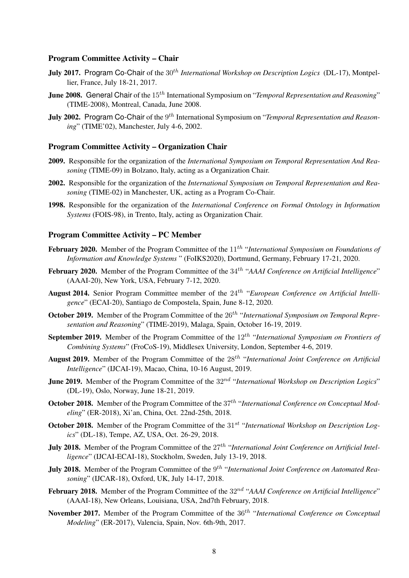### Program Committee Activity – Chair

- July 2017. Program Co-Chair of the 30th *International Workshop on Description Logics* (DL-17), Montpellier, France, July 18-21, 2017.
- June 2008. General Chair of the 15<sup>th</sup> International Symposium on "*Temporal Representation and Reasoning*" (TIME-2008), Montreal, Canada, June 2008.
- **July 2002.** Program Co-Chair of the 9<sup>th</sup> International Symposium on "*Temporal Representation and Reasoning*" (TIME'02), Manchester, July 4-6, 2002.

#### Program Committee Activity – Organization Chair

- 2009. Responsible for the organization of the *International Symposium on Temporal Representation And Reasoning* (TIME-09) in Bolzano, Italy, acting as a Organization Chair.
- 2002. Responsible for the organization of the *International Symposium on Temporal Representation and Reasoning* (TIME-02) in Manchester, UK, acting as a Program Co-Chair.
- 1998. Responsible for the organization of the *International Conference on Formal Ontology in Information Systems* (FOIS-98), in Trento, Italy, acting as Organization Chair.

#### Program Committee Activity – PC Member

- February 2020. Member of the Program Committee of the 11<sup>th</sup> "International Symposium on Foundations of *Information and Knowledge Systems* " (FoIKS2020), Dortmund, Germany, February 17-21, 2020.
- February 2020. Member of the Program Committee of the 34<sup>th</sup> "AAAI Conference on Artificial Intelligence" (AAAI-20), New York, USA, February 7-12, 2020.
- August 2014. Senior Program Committee member of the 24<sup>th</sup> "European Conference on Artificial Intelli*gence*" (ECAI-20), Santiago de Compostela, Spain, June 8-12, 2020.
- October 2019. Member of the Program Committee of the 26<sup>th</sup> "International Symposium on Temporal Repre*sentation and Reasoning*" (TIME-2019), Malaga, Spain, October 16-19, 2019.
- September 2019. Member of the Program Committee of the 12<sup>th</sup> "International Symposium on Frontiers of *Combining Systems*" (FroCoS-19), Middlesex University, London, September 4-6, 2019.
- August 2019. Member of the Program Committee of the 28<sup>th</sup> "International Joint Conference on Artificial *Intelligence*" (IJCAI-19), Macao, China, 10-16 August, 2019.
- **June 2019.** Member of the Program Committee of the  $32^{nd}$  "International Workshop on Description Logics" (DL-19), Oslo, Norway, June 18-21, 2019.
- October 2018. Member of the Program Committee of the 37<sup>th</sup> "International Conference on Conceptual Mod*eling*" (ER-2018), Xi'an, China, Oct. 22nd-25th, 2018.
- October 2018. Member of the Program Committee of the 31<sup>st</sup> "International Workshop on Description Log*ics*" (DL-18), Tempe, AZ, USA, Oct. 26-29, 2018.
- July 2018. Member of the Program Committee of the 27<sup>th</sup> "International Joint Conference on Artificial Intel*ligence*" (IJCAI-ECAI-18), Stockholm, Sweden, July 13-19, 2018.
- **July 2018.** Member of the Program Committee of the 9<sup>th</sup> "International Joint Conference on Automated Rea*soning*" (IJCAR-18), Oxford, UK, July 14-17, 2018.
- February 2018. Member of the Program Committee of the 32<sup>nd</sup> "AAAI Conference on Artificial Intelligence" (AAAI-18), New Orleans, Louisiana, USA, 2nd7th February, 2018.
- November 2017. Member of the Program Committee of the  $36<sup>th</sup>$  "International Conference on Conceptual *Modeling*" (ER-2017), Valencia, Spain, Nov. 6th-9th, 2017.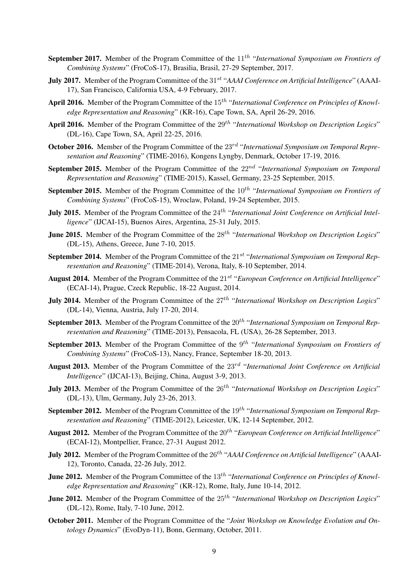- September 2017. Member of the Program Committee of the 11<sup>th</sup> "International Symposium on Frontiers of *Combining Systems*" (FroCoS-17), Brasilia, Brasil, 27-29 September, 2017.
- July 2017. Member of the Program Committee of the 31<sup>st</sup> "AAAI Conference on Artificial Intelligence" (AAAI-17), San Francisco, California USA, 4-9 February, 2017.
- April 2016. Member of the Program Committee of the 15<sup>th</sup> "International Conference on Principles of Knowl*edge Representation and Reasoning*" (KR-16), Cape Town, SA, April 26-29, 2016.
- April 2016. Member of the Program Committee of the 29<sup>th</sup> "International Workshop on Description Logics" (DL-16), Cape Town, SA, April 22-25, 2016.
- October 2016. Member of the Program Committee of the 23<sup>rd</sup> "International Symposium on Temporal Repre*sentation and Reasoning*" (TIME-2016), Kongens Lyngby, Denmark, October 17-19, 2016.
- September 2015. Member of the Program Committee of the  $22^{nd}$  "International Symposium on Temporal *Representation and Reasoning*" (TIME-2015), Kassel, Germany, 23-25 September, 2015.
- September 2015. Member of the Program Committee of the 10<sup>th</sup> "International Symposium on Frontiers of *Combining Systems*" (FroCoS-15), Wroclaw, Poland, 19-24 September, 2015.
- **July 2015.** Member of the Program Committee of the 24<sup>th</sup> "International Joint Conference on Artificial Intel*ligence*" (IJCAI-15), Buenos Aires, Argentina, 25-31 July, 2015.
- **June 2015.** Member of the Program Committee of the 28<sup>th</sup> "International Workshop on Description Logics" (DL-15), Athens, Greece, June 7-10, 2015.
- September 2014. Member of the Program Committee of the 21<sup>st</sup> "International Symposium on Temporal Rep*resentation and Reasoning*" (TIME-2014), Verona, Italy, 8-10 September, 2014.
- August 2014. Member of the Program Committee of the 21<sup>st</sup> "European Conference on Artificial Intelligence" (ECAI-14), Prague, Czeck Republic, 18-22 August, 2014.
- **July 2014.** Member of the Program Committee of the  $27<sup>th</sup>$  "International Workshop on Description Logics" (DL-14), Vienna, Austria, July 17-20, 2014.
- September 2013. Member of the Program Committee of the 20<sup>th</sup> "International Symposium on Temporal Rep*resentation and Reasoning*" (TIME-2013), Pensacola, FL (USA), 26-28 September, 2013.
- September 2013. Member of the Program Committee of the 9<sup>th</sup> "International Symposium on Frontiers of *Combining Systems*" (FroCoS-13), Nancy, France, September 18-20, 2013.
- August 2013. Member of the Program Committee of the 23rd "*International Joint Conference on Artificial Intelligence*" (IJCAI-13), Beijing, China, August 3-9, 2013.
- July 2013. Member of the Program Committee of the 26<sup>th</sup> "International Workshop on Description Logics" (DL-13), Ulm, Germany, July 23-26, 2013.
- September 2012. Member of the Program Committee of the 19<sup>th</sup> "International Symposium on Temporal Rep*resentation and Reasoning*" (TIME-2012), Leicester, UK, 12-14 September, 2012.
- August 2012. Member of the Program Committee of the 20<sup>th</sup> "European Conference on Artificial Intelligence" (ECAI-12), Montpellier, France, 27-31 August 2012.
- **July 2012.** Member of the Program Committee of the 26<sup>th</sup> "AAAI Conference on Artificial Intelligence" (AAAI-12), Toronto, Canada, 22-26 July, 2012.
- June 2012. Member of the Program Committee of the 13<sup>th</sup> "International Conference on Principles of Knowl*edge Representation and Reasoning*" (KR-12), Rome, Italy, June 10-14, 2012.
- **June 2012.** Member of the Program Committee of the 25<sup>th</sup> "International Workshop on Description Logics" (DL-12), Rome, Italy, 7-10 June, 2012.
- October 2011. Member of the Program Committee of the "*Joint Workshop on Knowledge Evolution and Ontology Dynamics*" (EvoDyn-11), Bonn, Germany, October, 2011.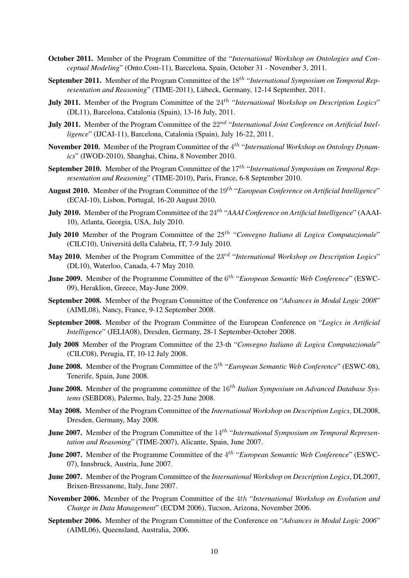- October 2011. Member of the Program Committee of the "*International Workshop on Ontologies and Conceptual Modeling*" (Onto.Com-11), Barcelona, Spain, October 31 - November 3, 2011.
- September 2011. Member of the Program Committee of the 18<sup>th</sup> "International Symposium on Temporal Rep*resentation and Reasoning*" (TIME-2011), Lübeck, Germany, 12-14 September, 2011.
- **July 2011.** Member of the Program Committee of the 24<sup>th</sup> "International Workshop on Description Logics" (DL11), Barcelona, Catalonia (Spain), 13-16 July, 2011.
- July 2011. Member of the Program Committee of the 22<sup>nd</sup> "International Joint Conference on Artificial Intel*ligence*" (IJCAI-11), Barcelona, Catalonia (Spain), July 16-22, 2011.
- November 2010. Member of the Program Committee of the 4<sup>th</sup> "International Workshop on Ontology Dynam*ics*" (IWOD-2010), Shanghai, China, 8 November 2010.
- September 2010. Member of the Program Committee of the 17<sup>th</sup> "International Symposium on Temporal Rep*resentation and Reasoning*" (TIME-2010), Paris, France, 6-8 September 2010.
- August 2010. Member of the Program Committee of the 19<sup>th</sup> "European Conference on Artificial Intelligence" (ECAI-10), Lisbon, Portugal, 16-20 August 2010.
- **July 2010.** Member of the Program Committee of the 24<sup>th</sup> "AAAI Conference on Artificial Intelligence" (AAAI-10), Atlanta, Georgia, USA, July 2010.
- **July 2010** Member of the Program Committee of the 25<sup>th</sup> "Convegno Italiano di Logica Computazionale" (CILC10), Universita della Calabria, IT, 7-9 July 2010. ´
- May 2010. Member of the Program Committee of the 23rd "*International Workshop on Description Logics*" (DL10), Waterloo, Canada, 4-7 May 2010.
- **June 2009.** Member of the Programme Committee of the 6<sup>th</sup> "*European Semantic Web Conference*" (ESWC-09), Heraklion, Greece, May-June 2009.
- September 2008. Member of the Program Committee of the Conference on "*Advances in Modal Logic 2008*" (AIML08), Nancy, France, 9-12 September 2008.
- September 2008. Member of the Program Committee of the European Conference on "*Logics in Artificial Intelligence*" (JELIA08), Dresden, Germany, 28-1 September-October 2008.
- July 2008 Member of the Program Committee of the 23-th "*Convegno Italiano di Logica Computazionale*" (CILC08), Perugia, IT, 10-12 July 2008.
- **June 2008.** Member of the Program Committee of the 5<sup>th</sup> "*European Semantic Web Conference*" (ESWC-08), Tenerife, Spain, June 2008.
- **June 2008.** Member of the programme committee of the 16<sup>th</sup> Italian Symposium on Advanced Database Sys*tems* (SEBD08), Palermo, Italy, 22-25 June 2008.
- May 2008. Member of the Program Committee of the *International Workshop on Description Logics*, DL2008, Dresden, Germany, May 2008.
- **June 2007.** Member of the Program Committee of the 14<sup>th</sup> "International Symposium on Temporal Represen*tation and Reasoning*" (TIME-2007), Alicante, Spain, June 2007.
- **June 2007.** Member of the Programme Committee of the 4<sup>th</sup> "*European Semantic Web Conference*" (ESWC-07), Innsbruck, Austria, June 2007.
- June 2007. Member of the Program Committee of the *International Workshop on Description Logics*, DL2007, Brixen-Bressanone, Italy, June 2007.
- November 2006. Member of the Program Committee of the 4th "*International Workshop on Evolution and Change in Data Management*" (ECDM 2006), Tucson, Arizona, November 2006.
- September 2006. Member of the Program Committee of the Conference on "*Advances in Modal Logic 2006*" (AIML06), Queensland, Australia, 2006.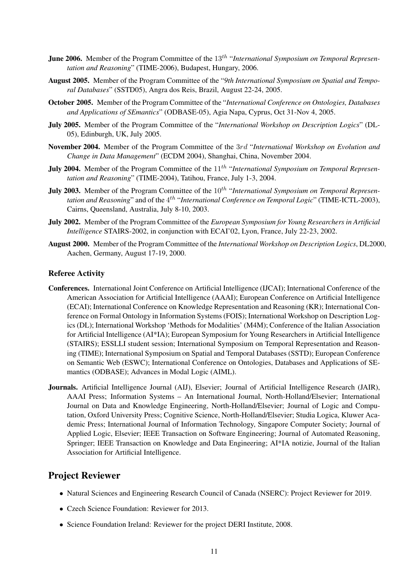- **June 2006.** Member of the Program Committee of the 13<sup>th</sup> "International Symposium on Temporal Represen*tation and Reasoning*" (TIME-2006), Budapest, Hungary, 2006.
- August 2005. Member of the Program Committee of the "*9th International Symposium on Spatial and Temporal Databases*" (SSTD05), Angra dos Reis, Brazil, August 22-24, 2005.
- October 2005. Member of the Program Committee of the "*International Conference on Ontologies, Databases and Applications of SEmantics*" (ODBASE-05), Agia Napa, Cyprus, Oct 31-Nov 4, 2005.
- July 2005. Member of the Program Committee of the "*International Workshop on Description Logics*" (DL-05), Edinburgh, UK, July 2005.
- November 2004. Member of the Program Committee of the 3rd "*International Workshop on Evolution and Change in Data Management*" (ECDM 2004), Shanghai, China, November 2004.
- **July 2004.** Member of the Program Committee of the 11<sup>th</sup> "International Symposium on Temporal Represen*tation and Reasoning*" (TIME-2004), Tatihou, France, July 1-3, 2004.
- **July 2003.** Member of the Program Committee of the 10<sup>th</sup> "International Symposium on Temporal Represen*tation and Reasoning*" and of the 4 th "*International Conference on Temporal Logic*" (TIME-ICTL-2003), Cairns, Queensland, Australia, July 8-10, 2003.
- July 2002. Member of the Program Committee of the *European Symposium for Young Researchers in Artificial Intelligence* STAIRS-2002, in conjunction with ECAI'02, Lyon, France, July 22-23, 2002.
- August 2000. Member of the Program Committee of the *International Workshop on Description Logics*, DL2000, Aachen, Germany, August 17-19, 2000.

#### Referee Activity

- Conferences. International Joint Conference on Artificial Intelligence (IJCAI); International Conference of the American Association for Artificial Intelligence (AAAI); European Conference on Artificial Intelligence (ECAI); International Conference on Knowledge Representation and Reasoning (KR); International Conference on Formal Ontology in Information Systems (FOIS); International Workshop on Description Logics (DL); International Workshop 'Methods for Modalities' (M4M); Conference of the Italian Association for Artificial Intelligence (AI\*IA); European Symposium for Young Researchers in Artificial Intelligence (STAIRS); ESSLLI student session; International Symposium on Temporal Representation and Reasoning (TIME); International Symposium on Spatial and Temporal Databases (SSTD); European Conference on Semantic Web (ESWC); International Conference on Ontologies, Databases and Applications of SEmantics (ODBASE); Advances in Modal Logic (AIML).
- Journals. Artificial Intelligence Journal (AIJ), Elsevier; Journal of Artificial Intelligence Research (JAIR), AAAI Press; Information Systems – An International Journal, North-Holland/Elsevier; International Journal on Data and Knowledge Engineering, North-Holland/Elsevier; Journal of Logic and Computation, Oxford University Press; Cognitive Science, North-Holland/Elsevier; Studia Logica, Kluwer Academic Press; International Journal of Information Technology, Singapore Computer Society; Journal of Applied Logic, Elsevier; IEEE Transaction on Software Engineering; Journal of Automated Reasoning, Springer; IEEE Transaction on Knowledge and Data Engineering; AI\*IA notizie, Journal of the Italian Association for Artificial Intelligence.

### Project Reviewer

- Natural Sciences and Engineering Research Council of Canada (NSERC): Project Reviewer for 2019.
- Czech Science Foundation: Reviewer for 2013.
- Science Foundation Ireland: Reviewer for the project DERI Institute, 2008.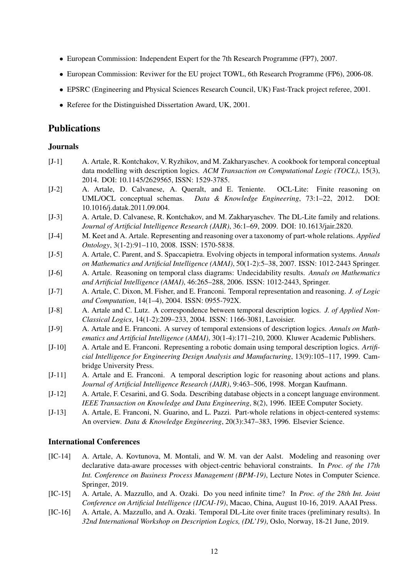- European Commission: Independent Expert for the 7th Research Programme (FP7), 2007.
- European Commission: Reviwer for the EU project TOWL, 6th Research Programme (FP6), 2006-08.
- EPSRC (Engineering and Physical Sciences Research Council, UK) Fast-Track project referee, 2001.
- Referee for the Distinguished Dissertation Award, UK, 2001.

### Publications

#### Journals

- [J-1] A. Artale, R. Kontchakov, V. Ryzhikov, and M. Zakharyaschev. A cookbook for temporal conceptual data modelling with description logics. *ACM Transaction on Computational Logic (TOCL)*, 15(3), 2014. DOI: 10.1145/2629565, ISSN: 1529-3785.
- [J-2] A. Artale, D. Calvanese, A. Queralt, and E. Teniente. OCL-Lite: Finite reasoning on UML/OCL conceptual schemas. *Data & Knowledge Engineering*, 73:1–22, 2012. DOI: 10.1016/j.datak.2011.09.004.
- [J-3] A. Artale, D. Calvanese, R. Kontchakov, and M. Zakharyaschev. The DL-Lite family and relations. *Journal of Artificial Intelligence Research (JAIR)*, 36:1–69, 2009. DOI: 10.1613/jair.2820.
- [J-4] M. Keet and A. Artale. Representing and reasoning over a taxonomy of part-whole relations. *Applied Ontology*, 3(1-2):91–110, 2008. ISSN: 1570-5838.
- [J-5] A. Artale, C. Parent, and S. Spaccapietra. Evolving objects in temporal information systems. *Annals on Mathematics and Artificial Intelligence (AMAI)*, 50(1-2):5–38, 2007. ISSN: 1012-2443 Springer.
- [J-6] A. Artale. Reasoning on temporal class diagrams: Undecidability results. *Annals on Mathematics and Artificial Intelligence (AMAI)*, 46:265–288, 2006. ISSN: 1012-2443, Springer.
- [J-7] A. Artale, C. Dixon, M. Fisher, and E. Franconi. Temporal representation and reasoning. *J. of Logic and Computation*, 14(1–4), 2004. ISSN: 0955-792X.
- [J-8] A. Artale and C. Lutz. A correspondence between temporal description logics. *J. of Applied Non-Classical Logics*, 14(1-2):209–233, 2004. ISSN: 1166-3081, Lavoisier.
- [J-9] A. Artale and E. Franconi. A survey of temporal extensions of description logics. *Annals on Mathematics and Artificial Intelligence (AMAI)*, 30(1-4):171–210, 2000. Kluwer Academic Publishers.
- [J-10] A. Artale and E. Franconi. Representing a robotic domain using temporal description logics. *Artificial Intelligence for Engineering Design Analysis and Manufacturing*, 13(9):105–117, 1999. Cambridge University Press.
- [J-11] A. Artale and E. Franconi. A temporal description logic for reasoning about actions and plans. *Journal of Artificial Intelligence Research (JAIR)*, 9:463–506, 1998. Morgan Kaufmann.
- [J-12] A. Artale, F. Cesarini, and G. Soda. Describing database objects in a concept language environment. *IEEE Transaction on Knowledge and Data Engineering*, 8(2), 1996. IEEE Computer Society.
- [J-13] A. Artale, E. Franconi, N. Guarino, and L. Pazzi. Part-whole relations in object-centered systems: An overview. *Data & Knowledge Engineering*, 20(3):347–383, 1996. Elsevier Science.

#### International Conferences

- [IC-14] A. Artale, A. Kovtunova, M. Montali, and W. M. van der Aalst. Modeling and reasoning over declarative data-aware processes with object-centric behavioral constraints. In *Proc. of the 17th Int. Conference on Business Process Management (BPM-19)*, Lecture Notes in Computer Science. Springer, 2019.
- [IC-15] A. Artale, A. Mazzullo, and A. Ozaki. Do you need infinite time? In *Proc. of the 28th Int. Joint Conference on Artificial Intelligence (IJCAI-19)*, Macao, China, August 10-16, 2019. AAAI Press.
- [IC-16] A. Artale, A. Mazzullo, and A. Ozaki. Temporal DL-Lite over finite traces (preliminary results). In *32nd International Workshop on Description Logics, (DL'19)*, Oslo, Norway, 18-21 June, 2019.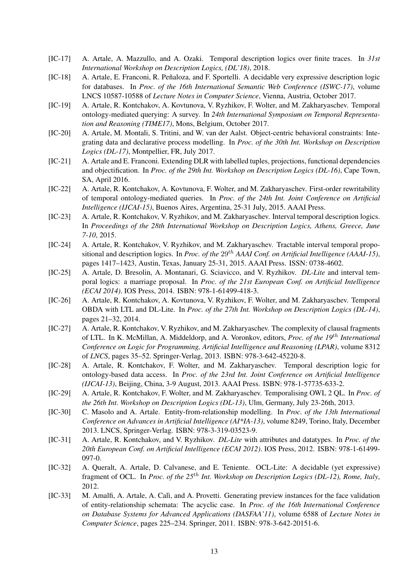- [IC-17] A. Artale, A. Mazzullo, and A. Ozaki. Temporal description logics over finite traces. In *31st International Workshop on Description Logics, (DL'18)*, 2018.
- [IC-18] A. Artale, E. Franconi, R. Peñaloza, and F. Sportelli. A decidable very expressive description logic for databases. In *Proc. of the 16th International Semantic Web Conference (ISWC-17)*, volume LNCS 10587-10588 of *Lecture Notes in Computer Science*, Vienna, Austria, October 2017.
- [IC-19] A. Artale, R. Kontchakov, A. Kovtunova, V. Ryzhikov, F. Wolter, and M. Zakharyaschev. Temporal ontology-mediated querying: A survey. In *24th International Symposium on Temporal Representation and Reasoning (TIME17)*, Mons, Belgium, October 2017.
- [IC-20] A. Artale, M. Montali, S. Tritini, and W. van der Aalst. Object-centric behavioral constraints: Integrating data and declarative process modelling. In *Proc. of the 30th Int. Workshop on Description Logics (DL-17)*, Montpellier, FR, July 2017.
- [IC-21] A. Artale and E. Franconi. Extending DLR with labelled tuples, projections, functional dependencies and objectification. In *Proc. of the 29th Int. Workshop on Description Logics (DL-16)*, Cape Town, SA, April 2016.
- [IC-22] A. Artale, R. Kontchakov, A. Kovtunova, F. Wolter, and M. Zakharyaschev. First-order rewritability of temporal ontology-mediated queries. In *Proc. of the 24th Int. Joint Conference on Artificial Intelligence (IJCAI-15)*, Buenos Aires, Argentina, 25-31 July, 2015. AAAI Press.
- [IC-23] A. Artale, R. Kontchakov, V. Ryzhikov, and M. Zakharyaschev. Interval temporal description logics. In *Proceedings of the 28th International Workshop on Description Logics, Athens, Greece, June 7-10*, 2015.
- [IC-24] A. Artale, R. Kontchakov, V. Ryzhikov, and M. Zakharyaschev. Tractable interval temporal propositional and description logics. In *Proc. of the* 29<sup>th</sup> *AAAI Conf. on Artificial Intelligence (AAAI-15)*, pages 1417–1423, Austin, Texas, January 25-31, 2015. AAAI Press. ISSN: 0738-4602.
- [IC-25] A. Artale, D. Bresolin, A. Montanari, G. Sciavicco, and V. Ryzhikov. *DL-Lite* and interval temporal logics: a marriage proposal. In *Proc. of the 21st European Conf. on Artificial Intelligence (ECAI 2014)*. IOS Press, 2014. ISBN: 978-1-61499-418-3.
- [IC-26] A. Artale, R. Kontchakov, A. Kovtunova, V. Ryzhikov, F. Wolter, and M. Zakharyaschev. Temporal OBDA with LTL and DL-Lite. In *Proc. of the 27th Int. Workshop on Description Logics (DL-14)*, pages 21–32, 2014.
- [IC-27] A. Artale, R. Kontchakov, V. Ryzhikov, and M. Zakharyaschev. The complexity of clausal fragments of LTL. In K. McMillan, A. Middeldorp, and A. Voronkov, editors, *Proc. of the 19*th *International Conference on Logic for Programming, Artificial Intelligence and Reasoning (LPAR)*, volume 8312 of *LNCS*, pages 35–52. Springer-Verlag, 2013. ISBN: 978-3-642-45220-8.
- [IC-28] A. Artale, R. Kontchakov, F. Wolter, and M. Zakharyaschev. Temporal description logic for ontology-based data access. In *Proc. of the 23rd Int. Joint Conference on Artificial Intelligence (IJCAI-13)*, Beijing, China, 3-9 August, 2013. AAAI Press. ISBN: 978-1-57735-633-2.
- [IC-29] A. Artale, R. Kontchakov, F. Wolter, and M. Zakharyaschev. Temporalising OWL 2 QL. In *Proc. of the 26th Int. Workshop on Description Logics (DL-13)*, Ulm, Germany, July 23-26th, 2013.
- [IC-30] C. Masolo and A. Artale. Entity-from-relationship modelling. In *Proc. of the 13th International Conference on Advances in Artificial Intelligence (AI\*IA-13)*, volume 8249, Torino, Italy, December 2013. LNCS, Springer-Verlag. ISBN: 978-3-319-03523-9.
- [IC-31] A. Artale, R. Kontchakov, and V. Ryzhikov. *DL-Lite* with attributes and datatypes. In *Proc. of the 20th European Conf. on Artificial Intelligence (ECAI 2012)*. IOS Press, 2012. ISBN: 978-1-61499- 097-0.
- [IC-32] A. Queralt, A. Artale, D. Calvanese, and E. Teniente. OCL-Lite: A decidable (yet expressive) fragment of OCL. In *Proc. of the 25*th *Int. Workshop on Description Logics (DL-12), Rome, Italy*, 2012.
- [IC-33] M. Amalfi, A. Artale, A. Calì, and A. Provetti. Generating preview instances for the face validation of entity-relationship schemata: The acyclic case. In *Proc. of the 16th International Conference on Database Systems for Advanced Applications (DASFAA'11)*, volume 6588 of *Lecture Notes in Computer Science*, pages 225–234. Springer, 2011. ISBN: 978-3-642-20151-6.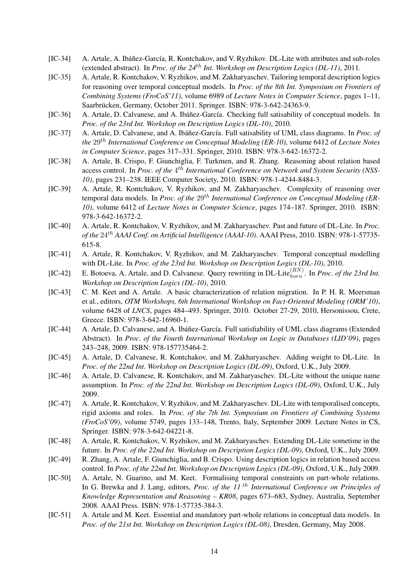- [IC-34] A. Artale, A. Ibáñez-García, R. Kontchakov, and V. Ryzhikov. DL-Lite with attributes and sub-roles (extended abstract). In *Proc. of the 24*th *Int. Workshop on Description Logics (DL-11)*, 2011.
- [IC-35] A. Artale, R. Kontchakov, V. Ryzhikov, and M. Zakharyaschev. Tailoring temporal description logics for reasoning over temporal conceptual models. In *Proc. of the 8th Int. Symposium on Frontiers of Combining Systems (FroCoS'11)*, volume 6989 of *Lecture Notes in Computer Science*, pages 1–11, Saarbrücken, Germany, October 2011. Springer. ISBN: 978-3-642-24363-9.
- [IC-36] A. Artale, D. Calvanese, and A. Ibáñez-García. Checking full satisability of conceptual models. In *Proc. of the 23rd Int. Workshop on Description Logics (DL-10)*, 2010.
- [IC-37] A. Artale, D. Calvanese, and A. Ibáñez-García. Full satisability of UML class diagrams. In *Proc. of the* 29th *International Conference on Conceptual Modeling (ER-10)*, volume 6412 of *Lecture Notes in Computer Science*, pages 317–331. Springer, 2010. ISBN: 978-3-642-16372-2.
- [IC-38] A. Artale, B. Crispo, F. Giunchiglia, F. Turkmen, and R. Zhang. Reasoning about relation based access control. In *Proc. of the* 4<sup>th</sup> International Conference on Network and System Security (NSS-*10)*, pages 231–238. IEEE Computer Society, 2010. ISBN: 978-1-4244-8484-3.
- [IC-39] A. Artale, R. Kontchakov, V. Ryzhikov, and M. Zakharyaschev. Complexity of reasoning over temporal data models. In *Proc. of the* 29<sup>th</sup> International Conference on Conceptual Modeling (ER-*10)*, volume 6412 of *Lecture Notes in Computer Science*, pages 174–187. Springer, 2010. ISBN: 978-3-642-16372-2.
- [IC-40] A. Artale, R. Kontchakov, V. Ryzhikov, and M. Zakharyaschev. Past and future of DL-Lite. In *Proc. of the* 24th *AAAI Conf. on Artificial Intelligence (AAAI-10)*. AAAI Press, 2010. ISBN: 978-1-57735- 615-8.
- [IC-41] A. Artale, R. Kontchakov, V. Ryzhikov, and M. Zakharyaschev. Temporal conceptual modelling with DL-Lite. In *Proc. of the 23rd Int. Workshop on Description Logics (DL-10)*, 2010.
- [IC-42] E. Botoeva, A. Artale, and D. Calvanese. Query rewriting in DL-Lite ${}_{horn}^{(RN)}$ . In *Proc. of the 23rd Int. Workshop on Description Logics (DL-10)*, 2010.
- [IC-43] C. M. Keet and A. Artale. A basic characterization of relation migration. In P. H. R. Meersman et al., editors, *OTM Workshops, 6th International Workshop on Fact-Oriented Modeling (ORM'10)*, volume 6428 of *LNCS*, pages 484–493. Springer, 2010. October 27-29, 2010, Hersonissou, Crete, Greece. ISBN: 978-3-642-16960-1.
- [IC-44] A. Artale, D. Calvanese, and A. Ibáñez-García. Full satisfiability of UML class diagrams (Extended Abstract). In *Proc. of the Fourth International Workshop on Logic in Databases (LID'09)*, pages 243–248, 2009. ISBN: 978-157735464-2.
- [IC-45] A. Artale, D. Calvanese, R. Kontchakov, and M. Zakharyaschev. Adding weight to DL-Lite. In *Proc. of the 22nd Int. Workshop on Description Logics (DL-09)*, Oxford, U.K., July 2009.
- [IC-46] A. Artale, D. Calvanese, R. Kontchakov, and M. Zakharyaschev. DL-Lite without the unique name assumption. In *Proc. of the 22nd Int. Workshop on Description Logics (DL-09)*, Oxford, U.K., July 2009.
- [IC-47] A. Artale, R. Kontchakov, V. Ryzhikov, and M. Zakharyaschev. DL-Lite with temporalised concepts, rigid axioms and roles. In *Proc. of the 7th Int. Symposium on Frontiers of Combining Systems (FroCoS'09)*, volume 5749, pages 133–148, Trento, Italy, September 2009. Lecture Notes in CS, Springer. ISBN: 978-3-642-04221-8.
- [IC-48] A. Artale, R. Kontchakov, V. Ryzhikov, and M. Zakharyaschev. Extending DL-Lite sometime in the future. In *Proc. of the 22nd Int. Workshop on Description Logics (DL-09)*, Oxford, U.K., July 2009.
- [IC-49] R. Zhang, A. Artale, F. Giunchiglia, and B. Crispo. Using description logics in relation based access control. In *Proc. of the 22nd Int. Workshop on Description Logics (DL-09)*, Oxford, U.K., July 2009.
- [IC-50] A. Artale, N. Guarino, and M. Keet. Formalising temporal constraints on part-whole relations. In G. Brewka and J. Lang, editors, *Proc. of the 11* th *International Conference on Principles of Knowledge Representation and Reasoning – KR08*, pages 673–683, Sydney, Australia, September 2008. AAAI Press. ISBN: 978-1-57735-384-3.
- [IC-51] A. Artale and M. Keet. Essential and mandatory part-whole relations in conceptual data models. In *Proc. of the 21st Int. Workshop on Description Logics (DL-08)*, Dresden, Germany, May 2008.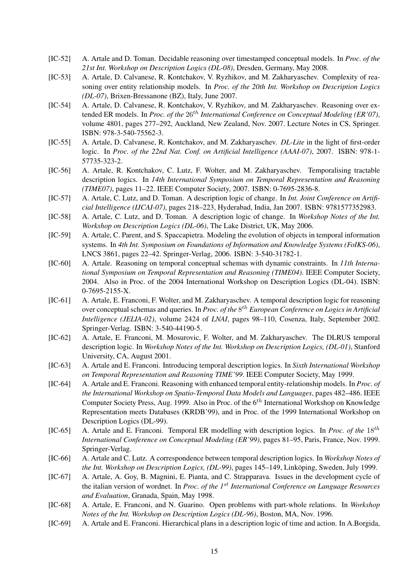- [IC-52] A. Artale and D. Toman. Decidable reasoning over timestamped conceptual models. In *Proc. of the 21st Int. Workshop on Description Logics (DL-08)*, Dresden, Germany, May 2008.
- [IC-53] A. Artale, D. Calvanese, R. Kontchakov, V. Ryzhikov, and M. Zakharyaschev. Complexity of reasoning over entity relationship models. In *Proc. of the 20th Int. Workshop on Description Logics (DL-07)*, Brixen-Bressanone (BZ), Italy, June 2007.
- [IC-54] A. Artale, D. Calvanese, R. Kontchakov, V. Ryzhikov, and M. Zakharyaschev. Reasoning over extended ER models. In *Proc. of the*  $26<sup>th</sup>$  *International Conference on Conceptual Modeling (ER'07)*, volume 4801, pages 277–292, Auckland, New Zealand, Nov. 2007. Lecture Notes in CS, Springer. ISBN: 978-3-540-75562-3.
- [IC-55] A. Artale, D. Calvanese, R. Kontchakov, and M. Zakharyaschev. *DL-Lite* in the light of first-order logic. In *Proc. of the 22nd Nat. Conf. on Artificial Intelligence (AAAI-07)*, 2007. ISBN: 978-1- 57735-323-2.
- [IC-56] A. Artale, R. Kontchakov, C. Lutz, F. Wolter, and M. Zakharyaschev. Temporalising tractable description logics. In *14th International Symposium on Temporal Representation and Reasoning (TIME07)*, pages 11–22. IEEE Computer Society, 2007. ISBN: 0-7695-2836-8.
- [IC-57] A. Artale, C. Lutz, and D. Toman. A description logic of change. In *Int. Joint Conference on Artificial Intelligence (IJCAI-07)*, pages 218–223, Hyderabad, India, Jan 2007. ISBN: 9781577352983.
- [IC-58] A. Artale, C. Lutz, and D. Toman. A description logic of change. In *Workshop Notes of the Int. Workshop on Description Logics (DL-06)*, The Lake District, UK, May 2006.
- [IC-59] A. Artale, C. Parent, and S. Spaccapietra. Modeling the evolution of objects in temporal information systems. In *4th Int. Symposium on Foundations of Information and Knowledge Systems (FoIKS-06)*, LNCS 3861, pages 22–42. Springer-Verlag, 2006. ISBN: 3-540-31782-1.
- [IC-60] A. Artale. Reasoning on temporal conceptual schemas with dynamic constraints. In *11th International Symposium on Temporal Representation and Reasoning (TIME04)*. IEEE Computer Society, 2004. Also in Proc. of the 2004 International Workshop on Description Logics (DL-04). ISBN: 0-7695-2155-X.
- [IC-61] A. Artale, E. Franconi, F. Wolter, and M. Zakharyaschev. A temporal description logic for reasoning over conceptual schemas and queries. In *Proc. of the* 8 th *European Conference on Logics in Artificial Intelligence (JELIA-02)*, volume 2424 of *LNAI*, pages 98–110, Cosenza, Italy, September 2002. Springer-Verlag. ISBN: 3-540-44190-5.
- [IC-62] A. Artale, E. Franconi, M. Mosurovic, F. Wolter, and M. Zakharyaschev. The DLRUS temporal description logic. In *Workshop Notes of the Int. Workshop on Description Logics, (DL-01)*, Stanford University, CA, August 2001.
- [IC-63] A. Artale and E. Franconi. Introducing temporal description logics. In *Sixth International Workshop on Temporal Representation and Reasoning TIME'99*. IEEE Computer Society, May 1999.
- [IC-64] A. Artale and E. Franconi. Reasoning with enhanced temporal entity-relationship models. In *Proc. of the International Workshop on Spatio-Temporal Data Models and Languages*, pages 482–486. IEEE Computer Society Press, Aug. 1999. Also in Proc. of the  $6<sup>th</sup>$  International Workshop on Knowledge Representation meets Databases (KRDB'99), and in Proc. of the 1999 International Workshop on Description Logics (DL-99).
- [IC-65] A. Artale and E. Franconi. Temporal ER modelling with description logics. In *Proc. of the* 18th *International Conference on Conceptual Modeling (ER'99)*, pages 81–95, Paris, France, Nov. 1999. Springer-Verlag.
- [IC-66] A. Artale and C. Lutz. A correspondence between temporal description logics. In *Workshop Notes of the Int. Workshop on Description Logics, (DL-99)*, pages 145–149, Linköping, Sweden, July 1999.
- [IC-67] A. Artale, A. Goy, B. Magnini, E. Pianta, and C. Strapparava. Issues in the development cycle of the italian version of wordnet. In *Proc. of the 1*st *International Conference on Language Resources and Evaluation*, Granada, Spain, May 1998.
- [IC-68] A. Artale, E. Franconi, and N. Guarino. Open problems with part-whole relations. In *Workshop Notes of the Int. Workshop on Description Logics (DL-96)*, Boston, MA, Nov. 1996.
- [IC-69] A. Artale and E. Franconi. Hierarchical plans in a description logic of time and action. In A.Borgida,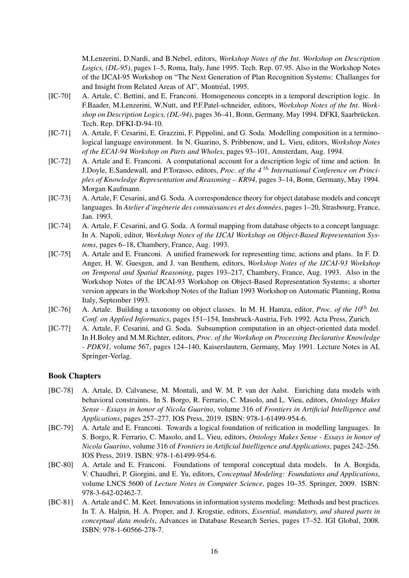M.Lenzerini, D.Nardi, and B.Nebel, editors, *Workshop Notes of the Int. Workshop on Description Logics, (DL-95)*, pages 1–5, Roma, Italy, June 1995. Tech. Rep. 07.95. Also in the Workshop Notes of the IJCAI-95 Workshop on "The Next Generation of Plan Recognition Systems: Challanges for and Insight from Related Areas of AI", Montréal, 1995.

- [IC-70] A. Artale, C. Bettini, and E. Franconi. Homogeneous concepts in a temporal description logic. In F.Baader, M.Lenzerini, W.Nutt, and P.F.Patel-schneider, editors, *Workshop Notes of the Int. Workshop on Description Logics, (DL-94)*, pages 36–41, Bonn, Germany, May 1994. DFKI, Saarbrucken. ¨ Tech. Rep. DFKI-D-94-10.
- [IC-71] A. Artale, F. Cesarini, E. Grazzini, F. Pippolini, and G. Soda. Modelling composition in a terminological language environment. In N. Guarino, S. Pribbenow, and L. Vieu, editors, *Workshop Notes of the ECAI-94 Workshop on Parts and Wholes*, pages 93–101, Amsterdam, Aug. 1994.
- [IC-72] A. Artale and E. Franconi. A computational account for a description logic of time and action. In J.Doyle, E.Sandewall, and P.Torasso, editors, *Proc. of the 4* th *International Conference on Principles of Knowledge Representation and Reasoning – KR94*, pages 3–14, Bonn, Germany, May 1994. Morgan Kaufmann.
- [IC-73] A. Artale, F. Cesarini, and G. Soda. A correspondence theory for object database models and concept languages. In *Atelier d'ingénerie des connaissances et des données*, pages 1–20, Strasbourg, France, Jan. 1993.
- [IC-74] A. Artale, F. Cesarini, and G. Soda. A formal mapping from database objects to a concept language. In A. Napoli, editor, *Workshop Notes of the IJCAI Workshop on Object-Based Representation Systems*, pages 6–18, Chambery, France, Aug. 1993.
- [IC-75] A. Artale and E. Franconi. A unified framework for representing time, actions and plans. In F. D. Anger, H. W. Guesgen, and J. van Benthem, editors, *Workshop Notes of the IJCAI-93 Workshop on Temporal and Spatial Reasoning*, pages 193–217, Chambery, France, Aug. 1993. Also in the Workshop Notes of the IJCAI-93 Workshop on Object-Based Representation Systems; a shorter version appears in the Workshop Notes of the Italian 1993 Workshop on Automatic Planning, Roma Italy, September 1993.
- [IC-76] A. Artale. Building a taxonomy on object classes. In M. H. Hamza, editor, *Proc. of the 10*th *Int. Conf. on Applied Informatics*, pages 151–154, Innsbruck-Austria, Feb. 1992. Acta Press, Zurich.
- [IC-77] A. Artale, F. Cesarini, and G. Soda. Subsumption computation in an object-oriented data model. In H.Boley and M.M.Richter, editors, *Proc. of the Workshop on Processing Declarative Knowledge - PDK91*, volume 567, pages 124–140, Kaiserslautern, Germany, May 1991. Lecture Notes in AI, Springer-Verlag.

#### Book Chapters

- [BC-78] A. Artale, D. Calvanese, M. Montali, and W. M. P. van der Aalst. Enriching data models with behavioral constraints. In S. Borgo, R. Ferrario, C. Masolo, and L. Vieu, editors, *Ontology Makes Sense - Essays in honor of Nicola Guarino*, volume 316 of *Frontiers in Artificial Intelligence and Applications*, pages 257–277. IOS Press, 2019. ISBN: 978-1-61499-954-6.
- [BC-79] A. Artale and E. Franconi. Towards a logical foundation of reification in modelling languages. In S. Borgo, R. Ferrario, C. Masolo, and L. Vieu, editors, *Ontology Makes Sense - Essays in honor of Nicola Guarino*, volume 316 of *Frontiers in Artificial Intelligence and Applications*, pages 242–256. IOS Press, 2019. ISBN: 978-1-61499-954-6.
- [BC-80] A. Artale and E. Franconi. Foundations of temporal conceptual data models. In A. Borgida, V. Chaudhri, P. Giorgini, and E. Yu, editors, *Conceptual Modeling: Foundations and Applications*, volume LNCS 5600 of *Lecture Notes in Computer Science*, pages 10–35. Springer, 2009. ISBN: 978-3-642-02462-7.
- [BC-81] A. Artale and C. M. Keet. Innovations in information systems modeling: Methods and best practices. In T. A. Halpin, H. A. Proper, and J. Krogstie, editors, *Essential, mandatory, and shared parts in conceptual data models*, Advances in Database Research Series, pages 17–52. IGI Global, 2008. ISBN: 978-1-60566-278-7.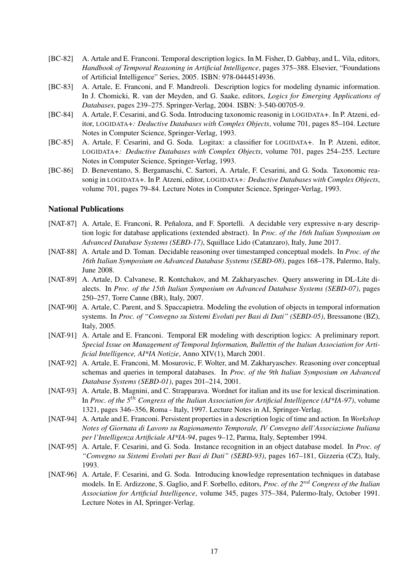- [BC-82] A. Artale and E. Franconi. Temporal description logics. In M. Fisher, D. Gabbay, and L. Vila, editors, *Handbook of Temporal Reasoning in Artificial Intelligence*, pages 375–388. Elsevier, "Foundations of Artificial Intelligence" Series, 2005. ISBN: 978-0444514936.
- [BC-83] A. Artale, E. Franconi, and F. Mandreoli. Description logics for modeling dynamic information. In J. Chomicki, R. van der Meyden, and G. Saake, editors, *Logics for Emerging Applications of Databases*, pages 239–275. Springer-Verlag, 2004. ISBN: 3-540-00705-9.
- [BC-84] A. Artale, F. Cesarini, and G. Soda. Introducing taxonomic reasonig in LOGIDATA+. In P. Atzeni, editor, LOGIDATA+*: Deductive Databases with Complex Objects*, volume 701, pages 85–104. Lecture Notes in Computer Science, Springer-Verlag, 1993.
- [BC-85] A. Artale, F. Cesarini, and G. Soda. Logitax: a classifier for LOGIDATA+. In P. Atzeni, editor, LOGIDATA+*: Deductive Databases with Complex Objects*, volume 701, pages 254–255. Lecture Notes in Computer Science, Springer-Verlag, 1993.
- [BC-86] D. Beneventano, S. Bergamaschi, C. Sartori, A. Artale, F. Cesarini, and G. Soda. Taxonomic reasonig in LOGIDATA+. In P. Atzeni, editor, LOGIDATA+*: Deductive Databases with Complex Objects*, volume 701, pages 79–84. Lecture Notes in Computer Science, Springer-Verlag, 1993.

#### National Publications

- [NAT-87] A. Artale, E. Franconi, R. Peñaloza, and F. Sportelli. A decidable very expressive n-ary description logic for database applications (extended abstract). In *Proc. of the 16th Italian Symposium on Advanced Database Systems (SEBD-17)*, Squillace Lido (Catanzaro), Italy, June 2017.
- [NAT-88] A. Artale and D. Toman. Decidable reasoning over timestamped conceptual models. In *Proc. of the 16th Italian Symposium on Advanced Database Systems (SEBD-08)*, pages 168–178, Palermo, Italy, June 2008.
- [NAT-89] A. Artale, D. Calvanese, R. Kontchakov, and M. Zakharyaschev. Query answering in DL-Lite dialects. In *Proc. of the 15th Italian Symposium on Advanced Database Systems (SEBD-07)*, pages 250–257, Torre Canne (BR), Italy, 2007.
- [NAT-90] A. Artale, C. Parent, and S. Spaccapietra. Modeling the evolution of objects in temporal information systems. In *Proc. of "Convegno su Sistemi Evoluti per Basi di Dati" (SEBD-05)*, Bressanone (BZ), Italy, 2005.
- [NAT-91] A. Artale and E. Franconi. Temporal ER modeling with description logics: A preliminary report. *Special Issue on Management of Temporal Information, Bullettin of the Italian Association for Artificial Intelligence, AI\*IA Notizie*, Anno XIV(1), March 2001.
- [NAT-92] A. Artale, E. Franconi, M. Mosurovic, F. Wolter, and M. Zakharyaschev. Reasoning over conceptual schemas and queries in temporal databases. In *Proc. of the 9th Italian Symposium on Advanced Database Systems (SEBD-01)*, pages 201–214, 2001.
- [NAT-93] A. Artale, B. Magnini, and C. Strapparava. Wordnet for italian and its use for lexical discrimination. In *Proc. of the 5*th *Congress of the Italian Association for Artificial Intelligence (AI\*IA-97)*, volume 1321, pages 346–356, Roma - Italy, 1997. Lecture Notes in AI, Springer-Verlag.
- [NAT-94] A. Artale and E. Franconi. Persistent properties in a description logic of time and action. In *Workshop Notes of Giornata di Lavoro su Ragionamento Temporale, IV Convegno dell'Associazione Italiana per l'Intelligenza Artificiale AI\*IA-94*, pages 9–12, Parma, Italy, September 1994.
- [NAT-95] A. Artale, F. Cesarini, and G. Soda. Instance recognition in an object database model. In *Proc. of "Convegno su Sistemi Evoluti per Basi di Dati" (SEBD-93)*, pages 167–181, Gizzeria (CZ), Italy, 1993.
- [NAT-96] A. Artale, F. Cesarini, and G. Soda. Introducing knowledge representation techniques in database models. In E. Ardizzone, S. Gaglio, and F. Sorbello, editors, *Proc. of the 2*nd *Congress of the Italian Association for Artificial Intelligence*, volume 345, pages 375–384, Palermo-Italy, October 1991. Lecture Notes in AI, Springer-Verlag.